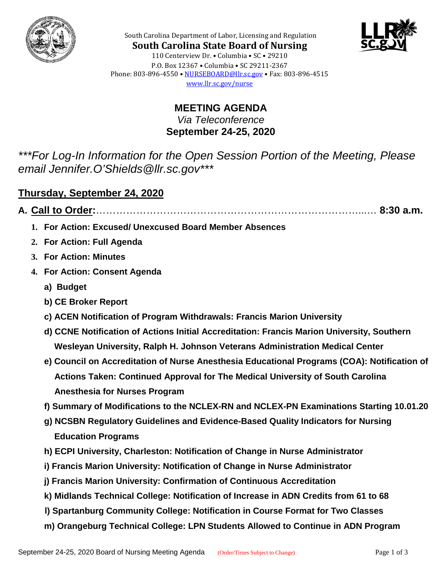



South Carolina Department of Labor, Licensing and Regulation **South Carolina State Board of Nursing** 110 Centerview Dr. • Columbia • SC • 29210 P.O. Box 12367 • Columbia • SC 29211-2367 Phone: 803-896-4550 • [NURSEBOARD@llr.sc.gov](mailto:contactllr@llr.sc.gov) • Fax: 803-896-4515 [www.llr.sc.gov/nurse](http://www.llr.sc.gov/nurse)

> **MEETING AGENDA** *Via Teleconference* **September 24-25, 2020**

*\*\*\*For Log-In Information for the Open Session Portion of the Meeting, Please email Jennifer.O'Shields@llr.sc.gov\*\*\**

#### **Thursday, September 24, 2020**

**A. Call to Order:**……………………………………………………………………...… **8:30 a.m.**

- **1. For Action: Excused/ Unexcused Board Member Absences**
- **2. For Action: Full Agenda**
- **3. For Action: Minutes**
- **4. For Action: Consent Agenda**
	- **a) Budget**
	- **b) CE Broker Report**
	- **c) ACEN Notification of Program Withdrawals: Francis Marion University**
	- **d) CCNE Notification of Actions Initial Accreditation: Francis Marion University, Southern Wesleyan University, Ralph H. Johnson Veterans Administration Medical Center**
	- **e) Council on Accreditation of Nurse Anesthesia Educational Programs (COA): Notification of Actions Taken: Continued Approval for The Medical University of South Carolina Anesthesia for Nurses Program**
	- **f) Summary of Modifications to the NCLEX-RN and NCLEX-PN Examinations Starting 10.01.20**
	- **g) NCSBN Regulatory Guidelines and Evidence-Based Quality Indicators for Nursing Education Programs**
	- **h) ECPI University, Charleston: Notification of Change in Nurse Administrator**
	- **i) Francis Marion University: Notification of Change in Nurse Administrator**
	- **j) Francis Marion University: Confirmation of Continuous Accreditation**
	- **k) Midlands Technical College: Notification of Increase in ADN Credits from 61 to 68**
	- **l) Spartanburg Community College: Notification in Course Format for Two Classes**
	- **m) Orangeburg Technical College: LPN Students Allowed to Continue in ADN Program**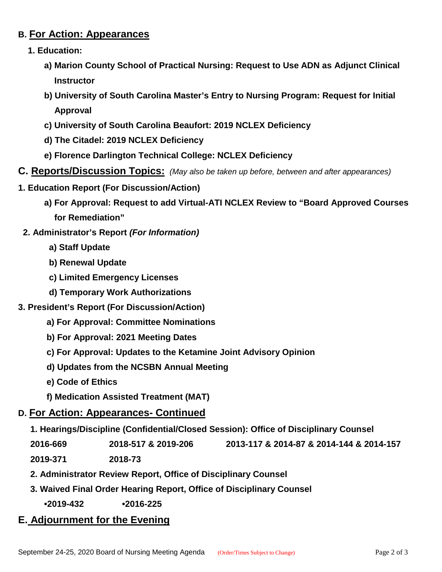#### **B. For Action: Appearances**

- **1. Education:**
	- **a) Marion County School of Practical Nursing: Request to Use ADN as Adjunct Clinical Instructor**
	- **b) University of South Carolina Master's Entry to Nursing Program: Request for Initial Approval**
	- **c) University of South Carolina Beaufort: 2019 NCLEX Deficiency**
	- **d) The Citadel: 2019 NCLEX Deficiency**
	- **e) Florence Darlington Technical College: NCLEX Deficiency**
- **C. Reports/Discussion Topics:** *(May also be taken up before, between and after appearances)*
- **1. Education Report (For Discussion/Action)**
	- **a) For Approval: Request to add Virtual-ATI NCLEX Review to "Board Approved Courses for Remediation"**
- **2. Administrator's Report** *(For Information)*
	- **a) Staff Update**
	- **b) Renewal Update**
	- **c) Limited Emergency Licenses**
	- **d) Temporary Work Authorizations**
- **3. President's Report (For Discussion/Action)**
	- **a) For Approval: Committee Nominations**
	- **b) For Approval: 2021 Meeting Dates**
	- **c) For Approval: Updates to the Ketamine Joint Advisory Opinion**
	- **d) Updates from the NCSBN Annual Meeting**
	- **e) Code of Ethics**
	- **f) Medication Assisted Treatment (MAT)**

#### **D. For Action: Appearances- Continued**

 **1. Hearings/Discipline (Confidential/Closed Session): Office of Disciplinary Counsel**

 **2016-669 2018-517 & 2019-206 2013-117 & 2014-87 & 2014-144 & 2014-157**

 **2019-371 2018-73**

- **2. Administrator Review Report, Office of Disciplinary Counsel**
- **3. Waived Final Order Hearing Report, Office of Disciplinary Counsel**

**•2019-432 •2016-225**

### **E. Adjournment for the Evening**